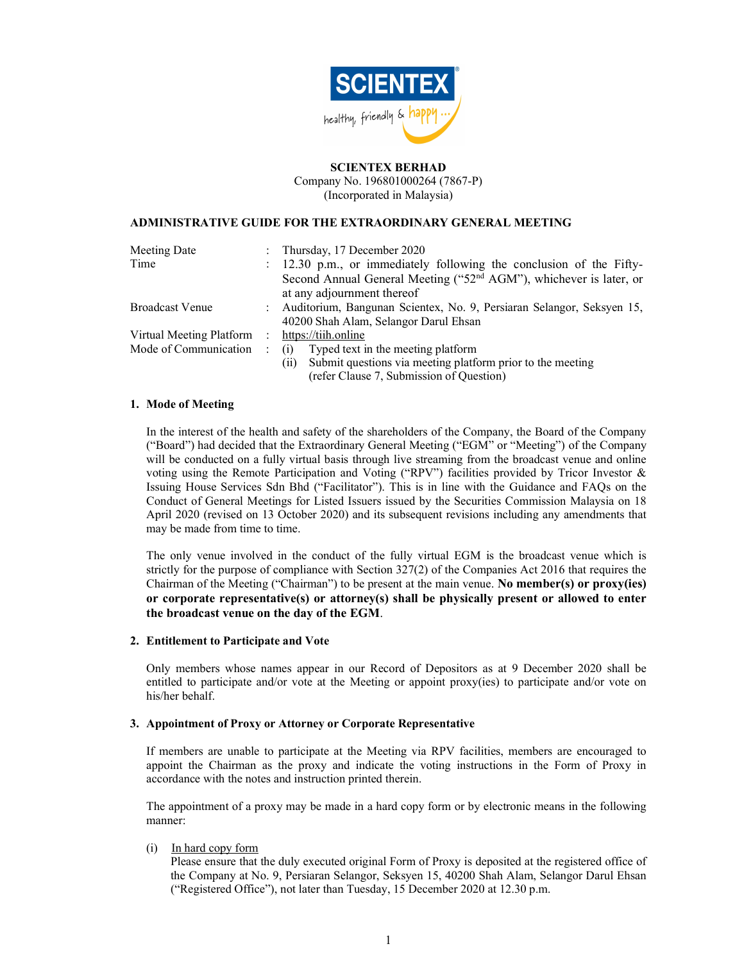

## SCIENTEX BERHAD

Company No. 196801000264 (7867-P) (Incorporated in Malaysia)

### ADMINISTRATIVE GUIDE FOR THE EXTRAORDINARY GENERAL MEETING

| Meeting Date             | $\mathbb{R}^{\mathbb{Z}}$ | Thursday, 17 December 2020                                                     |
|--------------------------|---------------------------|--------------------------------------------------------------------------------|
| Time                     |                           | : 12.30 p.m., or immediately following the conclusion of the Fifty-            |
|                          |                           | Second Annual General Meeting ("52 <sup>nd</sup> AGM"), whichever is later, or |
|                          |                           | at any adjournment thereof                                                     |
| <b>Broadcast Venue</b>   |                           | : Auditorium, Bangunan Scientex, No. 9, Persiaran Selangor, Seksyen 15,        |
|                          |                           | 40200 Shah Alam, Selangor Darul Ehsan                                          |
| Virtual Meeting Platform | $\sim$ 10 $\sim$          | https://tiih.online                                                            |
| Mode of Communication    |                           | Typed text in the meeting platform<br>(i)                                      |
|                          |                           | Submit questions via meeting platform prior to the meeting<br>(11)             |
|                          |                           | (refer Clause 7. Submission of Ouestion)                                       |

### 1. Mode of Meeting

In the interest of the health and safety of the shareholders of the Company, the Board of the Company ("Board") had decided that the Extraordinary General Meeting ("EGM" or "Meeting") of the Company will be conducted on a fully virtual basis through live streaming from the broadcast venue and online voting using the Remote Participation and Voting ("RPV") facilities provided by Tricor Investor & Issuing House Services Sdn Bhd ("Facilitator"). This is in line with the Guidance and FAQs on the Conduct of General Meetings for Listed Issuers issued by the Securities Commission Malaysia on 18 April 2020 (revised on 13 October 2020) and its subsequent revisions including any amendments that may be made from time to time.

The only venue involved in the conduct of the fully virtual EGM is the broadcast venue which is strictly for the purpose of compliance with Section 327(2) of the Companies Act 2016 that requires the Chairman of the Meeting ("Chairman") to be present at the main venue. No member(s) or proxy(ies) or corporate representative(s) or attorney(s) shall be physically present or allowed to enter the broadcast venue on the day of the EGM.

### 2. Entitlement to Participate and Vote

Only members whose names appear in our Record of Depositors as at 9 December 2020 shall be entitled to participate and/or vote at the Meeting or appoint proxy(ies) to participate and/or vote on his/her behalf.

### 3. Appointment of Proxy or Attorney or Corporate Representative

If members are unable to participate at the Meeting via RPV facilities, members are encouraged to appoint the Chairman as the proxy and indicate the voting instructions in the Form of Proxy in accordance with the notes and instruction printed therein.

The appointment of a proxy may be made in a hard copy form or by electronic means in the following manner:

### (i) In hard copy form

Please ensure that the duly executed original Form of Proxy is deposited at the registered office of the Company at No. 9, Persiaran Selangor, Seksyen 15, 40200 Shah Alam, Selangor Darul Ehsan ("Registered Office"), not later than Tuesday, 15 December 2020 at 12.30 p.m.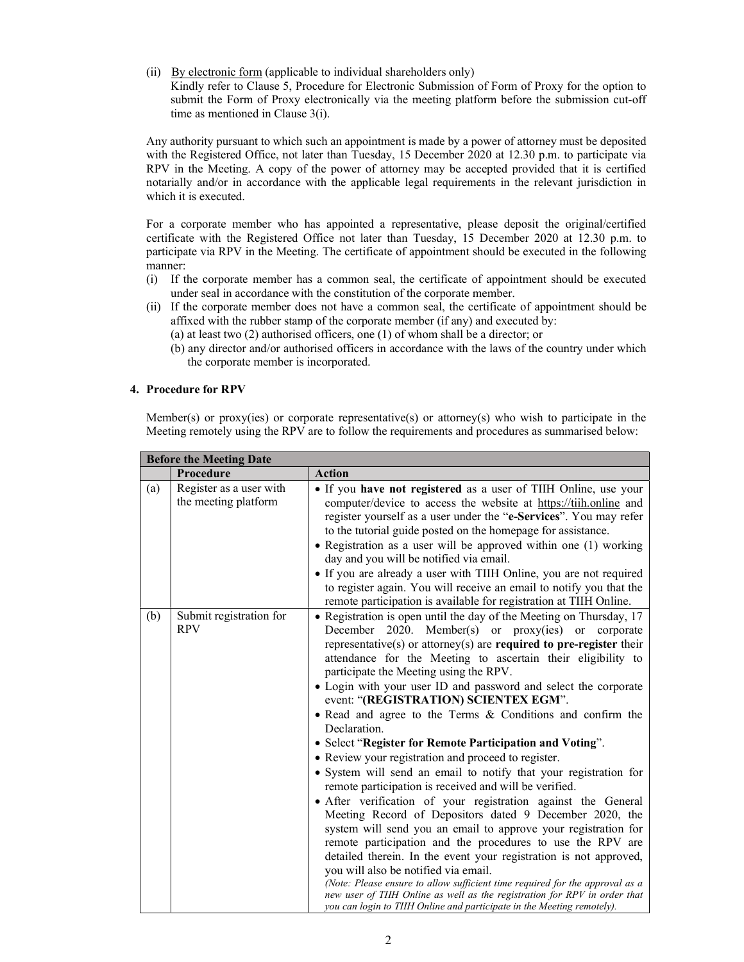(ii) By electronic form (applicable to individual shareholders only)

Kindly refer to Clause 5, Procedure for Electronic Submission of Form of Proxy for the option to submit the Form of Proxy electronically via the meeting platform before the submission cut-off time as mentioned in Clause 3(i).

Any authority pursuant to which such an appointment is made by a power of attorney must be deposited with the Registered Office, not later than Tuesday, 15 December 2020 at 12.30 p.m. to participate via RPV in the Meeting. A copy of the power of attorney may be accepted provided that it is certified notarially and/or in accordance with the applicable legal requirements in the relevant jurisdiction in which it is executed.

For a corporate member who has appointed a representative, please deposit the original/certified certificate with the Registered Office not later than Tuesday, 15 December 2020 at 12.30 p.m. to participate via RPV in the Meeting. The certificate of appointment should be executed in the following manner:

- (i) If the corporate member has a common seal, the certificate of appointment should be executed under seal in accordance with the constitution of the corporate member.
- (ii) If the corporate member does not have a common seal, the certificate of appointment should be affixed with the rubber stamp of the corporate member (if any) and executed by:
	- (a) at least two (2) authorised officers, one (1) of whom shall be a director; or
	- (b) any director and/or authorised officers in accordance with the laws of the country under which the corporate member is incorporated.

### 4. Procedure for RPV

Member(s) or proxy(ies) or corporate representative(s) or attorney(s) who wish to participate in the Meeting remotely using the RPV are to follow the requirements and procedures as summarised below:

| <b>Before the Meeting Date</b> |                                                 |                                                                                                                                                                                                                                                                                                                                                                                                                                                                                                                                                                                                                                                                                                                                                                                                                                                                                                                                                                                                                                                                                                                                                                                                                                                                                                                                                                        |
|--------------------------------|-------------------------------------------------|------------------------------------------------------------------------------------------------------------------------------------------------------------------------------------------------------------------------------------------------------------------------------------------------------------------------------------------------------------------------------------------------------------------------------------------------------------------------------------------------------------------------------------------------------------------------------------------------------------------------------------------------------------------------------------------------------------------------------------------------------------------------------------------------------------------------------------------------------------------------------------------------------------------------------------------------------------------------------------------------------------------------------------------------------------------------------------------------------------------------------------------------------------------------------------------------------------------------------------------------------------------------------------------------------------------------------------------------------------------------|
|                                | Procedure                                       | <b>Action</b>                                                                                                                                                                                                                                                                                                                                                                                                                                                                                                                                                                                                                                                                                                                                                                                                                                                                                                                                                                                                                                                                                                                                                                                                                                                                                                                                                          |
| (a)                            | Register as a user with<br>the meeting platform | • If you have not registered as a user of TIIH Online, use your<br>computer/device to access the website at https://tiih.online and<br>register yourself as a user under the "e-Services". You may refer<br>to the tutorial guide posted on the homepage for assistance.<br>• Registration as a user will be approved within one (1) working<br>day and you will be notified via email.<br>• If you are already a user with TIIH Online, you are not required<br>to register again. You will receive an email to notify you that the<br>remote participation is available for registration at TIIH Online.                                                                                                                                                                                                                                                                                                                                                                                                                                                                                                                                                                                                                                                                                                                                                             |
| (b)                            | Submit registration for<br><b>RPV</b>           | • Registration is open until the day of the Meeting on Thursday, 17<br>December 2020. Member(s) or proxy(ies) or corporate<br>representative(s) or attorney(s) are required to pre-register their<br>attendance for the Meeting to ascertain their eligibility to<br>participate the Meeting using the RPV.<br>• Login with your user ID and password and select the corporate<br>event: "(REGISTRATION) SCIENTEX EGM".<br>. Read and agree to the Terms & Conditions and confirm the<br>Declaration.<br>• Select "Register for Remote Participation and Voting".<br>• Review your registration and proceed to register.<br>• System will send an email to notify that your registration for<br>remote participation is received and will be verified.<br>• After verification of your registration against the General<br>Meeting Record of Depositors dated 9 December 2020, the<br>system will send you an email to approve your registration for<br>remote participation and the procedures to use the RPV are<br>detailed therein. In the event your registration is not approved,<br>you will also be notified via email.<br>(Note: Please ensure to allow sufficient time required for the approval as a<br>new user of TIIH Online as well as the registration for RPV in order that<br>you can login to TIIH Online and participate in the Meeting remotely). |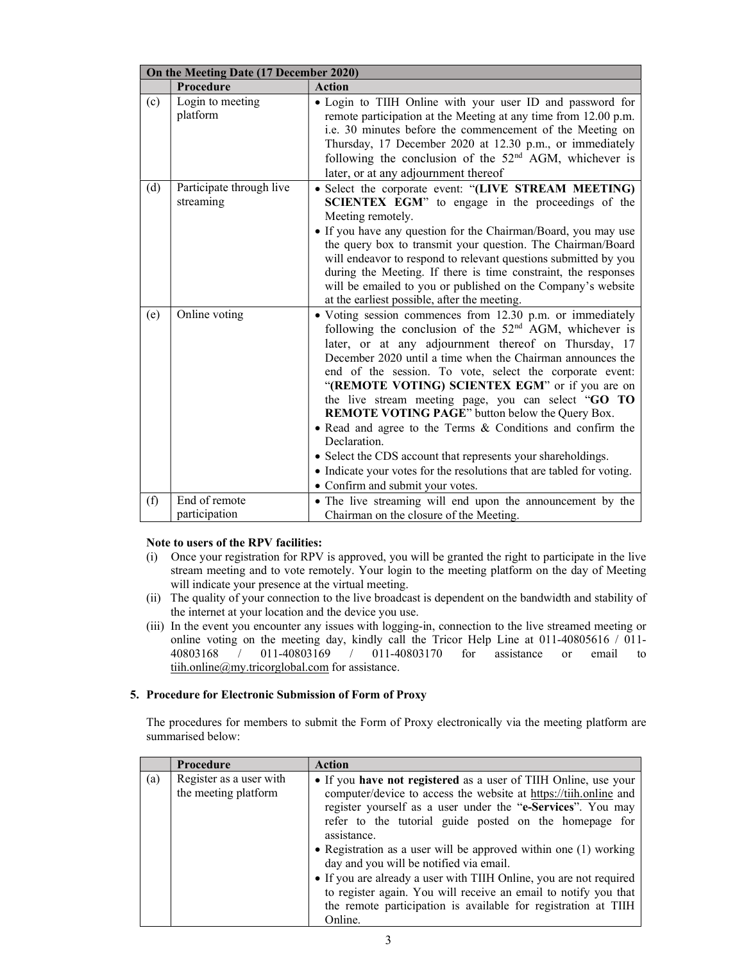| On the Meeting Date (17 December 2020) |                                       |                                                                                                                                                                                                                                                                                                                                                                                                                                                                                                                                                                                                                                                                                                                                         |
|----------------------------------------|---------------------------------------|-----------------------------------------------------------------------------------------------------------------------------------------------------------------------------------------------------------------------------------------------------------------------------------------------------------------------------------------------------------------------------------------------------------------------------------------------------------------------------------------------------------------------------------------------------------------------------------------------------------------------------------------------------------------------------------------------------------------------------------------|
|                                        | Procedure                             | <b>Action</b>                                                                                                                                                                                                                                                                                                                                                                                                                                                                                                                                                                                                                                                                                                                           |
| (c)                                    | Login to meeting<br>platform          | . Login to TIIH Online with your user ID and password for<br>remote participation at the Meeting at any time from 12.00 p.m.<br>i.e. 30 minutes before the commencement of the Meeting on<br>Thursday, 17 December 2020 at 12.30 p.m., or immediately<br>following the conclusion of the 52 <sup>nd</sup> AGM, whichever is<br>later, or at any adjournment thereof                                                                                                                                                                                                                                                                                                                                                                     |
| (d)                                    | Participate through live<br>streaming | • Select the corporate event: "(LIVE STREAM MEETING)<br>SCIENTEX EGM" to engage in the proceedings of the<br>Meeting remotely.<br>• If you have any question for the Chairman/Board, you may use<br>the query box to transmit your question. The Chairman/Board<br>will endeavor to respond to relevant questions submitted by you<br>during the Meeting. If there is time constraint, the responses<br>will be emailed to you or published on the Company's website<br>at the earliest possible, after the meeting.                                                                                                                                                                                                                    |
| (e)                                    | Online voting                         | • Voting session commences from 12.30 p.m. or immediately<br>following the conclusion of the $52nd$ AGM, whichever is<br>later, or at any adjournment thereof on Thursday, 17<br>December 2020 until a time when the Chairman announces the<br>end of the session. To vote, select the corporate event:<br>"(REMOTE VOTING) SCIENTEX EGM" or if you are on<br>the live stream meeting page, you can select "GO TO<br><b>REMOTE VOTING PAGE</b> " button below the Query Box.<br>• Read and agree to the Terms & Conditions and confirm the<br>Declaration.<br>• Select the CDS account that represents your shareholdings.<br>• Indicate your votes for the resolutions that are tabled for voting.<br>• Confirm and submit your votes. |
| (f)                                    | End of remote<br>participation        | • The live streaming will end upon the announcement by the<br>Chairman on the closure of the Meeting.                                                                                                                                                                                                                                                                                                                                                                                                                                                                                                                                                                                                                                   |

# Note to users of the RPV facilities:

- (i) Once your registration for RPV is approved, you will be granted the right to participate in the live stream meeting and to vote remotely. Your login to the meeting platform on the day of Meeting will indicate your presence at the virtual meeting.
- (ii) The quality of your connection to the live broadcast is dependent on the bandwidth and stability of the internet at your location and the device you use.
- (iii) In the event you encounter any issues with logging-in, connection to the live streamed meeting or online voting on the meeting day, kindly call the Tricor Help Line at 011-40805616 / 011- 40803168 / 011-40803169 / 011-40803170 for assistance or email to tiih.online@my.tricorglobal.com for assistance.

## 5. Procedure for Electronic Submission of Form of Proxy

The procedures for members to submit the Form of Proxy electronically via the meeting platform are summarised below:

|     | <b>Procedure</b>                                | <b>Action</b>                                                                                                                                                                                                                                                                                                                                                                                                                                                                                                                                                                                                      |
|-----|-------------------------------------------------|--------------------------------------------------------------------------------------------------------------------------------------------------------------------------------------------------------------------------------------------------------------------------------------------------------------------------------------------------------------------------------------------------------------------------------------------------------------------------------------------------------------------------------------------------------------------------------------------------------------------|
| (a) | Register as a user with<br>the meeting platform | • If you have not registered as a user of TIIH Online, use your<br>computer/device to access the website at https://tiih.online and<br>register yourself as a user under the "e-Services". You may<br>refer to the tutorial guide posted on the homepage for<br>assistance.<br>• Registration as a user will be approved within one $(1)$ working<br>day and you will be notified via email.<br>• If you are already a user with TIIH Online, you are not required<br>to register again. You will receive an email to notify you that<br>the remote participation is available for registration at TIIH<br>Online. |